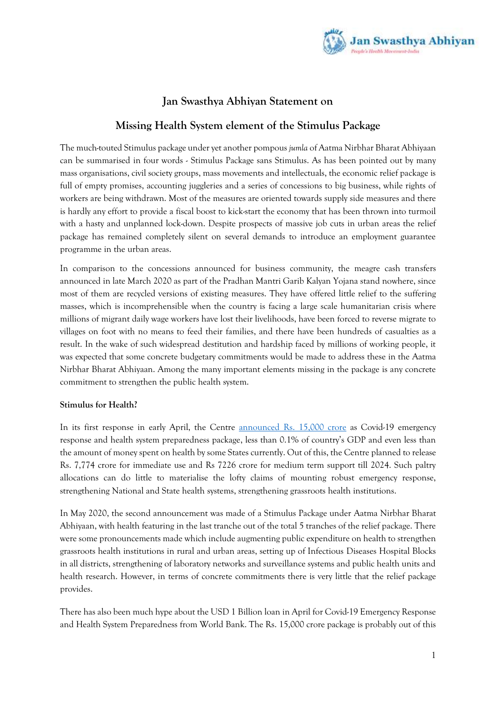

# **Jan Swasthya Abhiyan Statement on**

## **Missing Health System element of the Stimulus Package**

The much-touted Stimulus package under yet another pompous *jumla* of Aatma Nirbhar Bharat Abhiyaan can be summarised in four words - Stimulus Package sans Stimulus. As has been pointed out by many mass organisations, civil society groups, mass movements and intellectuals, the economic relief package is full of empty promises, accounting juggleries and a series of concessions to big business, while rights of workers are being withdrawn. Most of the measures are oriented towards supply side measures and there is hardly any effort to provide a fiscal boost to kick-start the economy that has been thrown into turmoil with a hasty and unplanned lock-down. Despite prospects of massive job cuts in urban areas the relief package has remained completely silent on several demands to introduce an employment guarantee programme in the urban areas.

In comparison to the concessions announced for business community, the meagre cash transfers announced in late March 2020 as part of the Pradhan Mantri Garib Kalyan Yojana stand nowhere, since most of them are recycled versions of existing measures. They have offered little relief to the suffering masses, which is incomprehensible when the country is facing a large scale humanitarian crisis where millions of migrant daily wage workers have lost their livelihoods, have been forced to reverse migrate to villages on foot with no means to feed their families, and there have been hundreds of casualties as a result. In the wake of such widespread destitution and hardship faced by millions of working people, it was expected that some concrete budgetary commitments would be made to address these in the Aatma Nirbhar Bharat Abhiyaan. Among the many important elements missing in the package is any concrete commitment to strengthen the public health system.

## **Stimulus for Health?**

In its first response in early April, the Centre [announced Rs.](https://pib.gov.in/PressReleasePage.aspx?PRID=1612534) 15,000 crore as Covid-19 emergency response and health system preparedness package, less than 0.1% of country's GDP and even less than the amount of money spent on health by some States currently. Out of this, the Centre planned to release Rs. 7,774 crore for immediate use and Rs 7226 crore for medium term support till 2024. Such paltry allocations can do little to materialise the lofty claims of mounting robust emergency response, strengthening National and State health systems, strengthening grassroots health institutions.

In May 2020, the second announcement was made of a Stimulus Package under Aatma Nirbhar Bharat Abhiyaan, with health featuring in the last tranche out of the total 5 tranches of the relief package. There were some pronouncements made which include augmenting public expenditure on health to strengthen grassroots health institutions in rural and urban areas, setting up of Infectious Diseases Hospital Blocks in all districts, strengthening of laboratory networks and surveillance systems and public health units and health research. However, in terms of concrete commitments there is very little that the relief package provides.

There has also been much hype about the USD 1 Billion loan in April for Covid-19 Emergency Response and Health System Preparedness from World Bank. The Rs. 15,000 crore package is probably out of this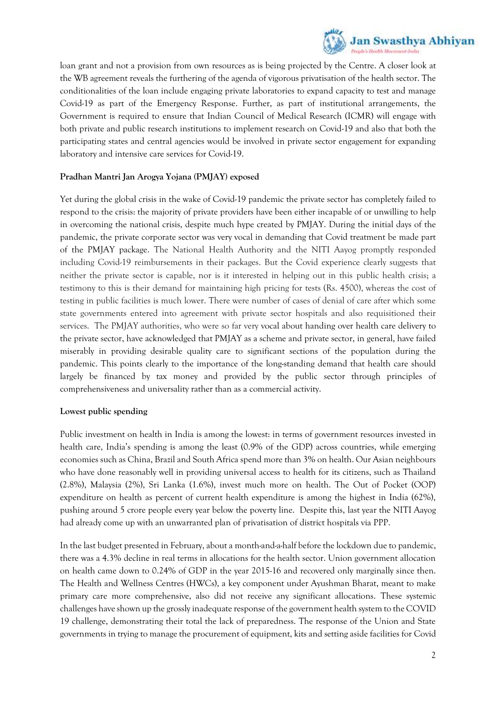

loan grant and not a provision from own resources as is being projected by the Centre. A closer look at the WB agreement reveals the furthering of the agenda of vigorous privatisation of the health sector. The conditionalities of the loan include engaging private laboratories to expand capacity to test and manage Covid-19 as part of the Emergency Response. Further, as part of institutional arrangements, the Government is required to ensure that Indian Council of Medical Research (ICMR) will engage with both private and public research institutions to implement research on Covid-19 and also that both the participating states and central agencies would be involved in private sector engagement for expanding laboratory and intensive care services for Covid-19.

## **Pradhan Mantri Jan Arogya Yojana (PMJAY) exposed**

Yet during the global crisis in the wake of Covid-19 pandemic the private sector has completely failed to respond to the crisis: the majority of private providers have been either incapable of or unwilling to help in overcoming the national crisis, despite much hype created by PMJAY. During the initial days of the pandemic, the private corporate sector was very vocal in demanding that Covid treatment be made part of the PMJAY package. The National Health Authority and the NITI Aayog promptly responded including Covid-19 reimbursements in their packages. But the Covid experience clearly suggests that neither the private sector is capable, nor is it interested in helping out in this public health crisis; a testimony to this is their demand for maintaining high pricing for tests (Rs. 4500), whereas the cost of testing in public facilities is much lower. There were number of cases of denial of care after which some state governments entered into agreement with private sector hospitals and also requisitioned their services. The PMJAY authorities, who were so far very vocal about handing over health care delivery to the private sector, have acknowledged that PMJAY as a scheme and private sector, in general, have failed miserably in providing desirable quality care to significant sections of the population during the pandemic. This points clearly to the importance of the long-standing demand that health care should largely be financed by tax money and provided by the public sector through principles of comprehensiveness and universality rather than as a commercial activity.

## **Lowest public spending**

Public investment on health in India is among the lowest: in terms of government resources invested in health care, India's spending is among the least (0.9% of the GDP) across countries, while emerging economies such as China, Brazil and South Africa spend more than 3% on health. Our Asian neighbours who have done reasonably well in providing universal access to health for its citizens, such as Thailand (2.8%), Malaysia (2%), Sri Lanka (1.6%), invest much more on health. The Out of Pocket (OOP) expenditure on health as percent of current health expenditure is among the highest in India (62%), pushing around 5 crore people every year below the poverty line. Despite this, last year the NITI Aayog had already come up with an unwarranted plan of privatisation of district hospitals via PPP.

In the last budget presented in February, about a month-and-a-half before the lockdown due to pandemic, there was a 4.3% decline in real terms in allocations for the health sector. Union government allocation on health came down to 0.24% of GDP in the year 2015-16 and recovered only marginally since then. The Health and Wellness Centres (HWCs), a key component under Ayushman Bharat, meant to make primary care more comprehensive, also did not receive any significant allocations. These systemic challenges have shown up the grossly inadequate response of the government health system to the COVID 19 challenge, demonstrating their total the lack of preparedness. The response of the Union and State governments in trying to manage the procurement of equipment, kits and setting aside facilities for Covid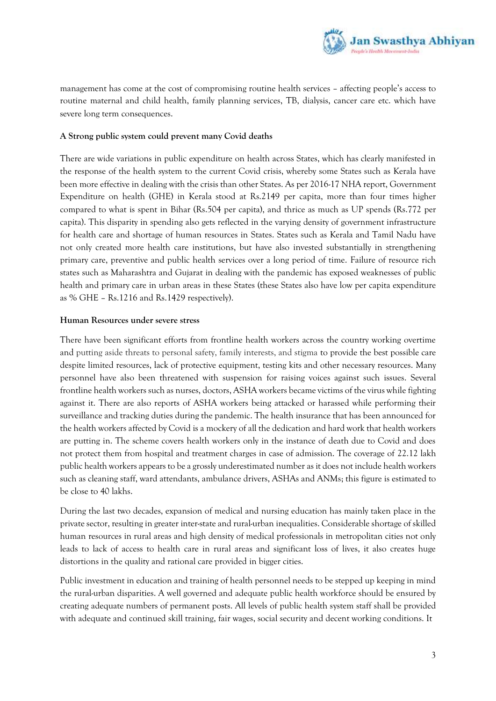

management has come at the cost of compromising routine health services – affecting people's access to routine maternal and child health, family planning services, TB, dialysis, cancer care etc. which have severe long term consequences.

## **A Strong public system could prevent many Covid deaths**

There are wide variations in public expenditure on health across States, which has clearly manifested in the response of the health system to the current Covid crisis, whereby some States such as Kerala have been more effective in dealing with the crisis than other States. As per 2016-17 NHA report, Government Expenditure on health (GHE) in Kerala stood at Rs.2149 per capita, more than four times higher compared to what is spent in Bihar (Rs.504 per capita), and thrice as much as UP spends (Rs.772 per capita). This disparity in spending also gets reflected in the varying density of government infrastructure for health care and shortage of human resources in States. States such as Kerala and Tamil Nadu have not only created more health care institutions, but have also invested substantially in strengthening primary care, preventive and public health services over a long period of time. Failure of resource rich states such as Maharashtra and Gujarat in dealing with the pandemic has exposed weaknesses of public health and primary care in urban areas in these States (these States also have low per capita expenditure as % GHE – Rs.1216 and Rs.1429 respectively).

#### **Human Resources under severe stress**

There have been significant efforts from frontline health workers across the country working overtime and putting aside threats to personal safety, family interests, and stigma to provide the best possible care despite limited resources, lack of protective equipment, testing kits and other necessary resources. Many personnel have also been threatened with suspension for raising voices against such issues. Several frontline health workers such as nurses, doctors, ASHA workers became victims of the virus while fighting against it. There are also reports of ASHA workers being attacked or harassed while performing their surveillance and tracking duties during the pandemic. The health insurance that has been announced for the health workers affected by Covid is a mockery of all the dedication and hard work that health workers are putting in. The scheme covers health workers only in the instance of death due to Covid and does not protect them from hospital and treatment charges in case of admission. The coverage of 22.12 lakh public health workers appears to be a grossly underestimated number as it does not include health workers such as cleaning staff, ward attendants, ambulance drivers, ASHAs and ANMs; this figure is estimated to be close to 40 lakhs.

During the last two decades, expansion of medical and nursing education has mainly taken place in the private sector, resulting in greater inter-state and rural-urban inequalities. Considerable shortage of skilled human resources in rural areas and high density of medical professionals in metropolitan cities not only leads to lack of access to health care in rural areas and significant loss of lives, it also creates huge distortions in the quality and rational care provided in bigger cities.

Public investment in education and training of health personnel needs to be stepped up keeping in mind the rural-urban disparities. A well governed and adequate public health workforce should be ensured by creating adequate numbers of permanent posts. All levels of public health system staff shall be provided with adequate and continued skill training, fair wages, social security and decent working conditions. It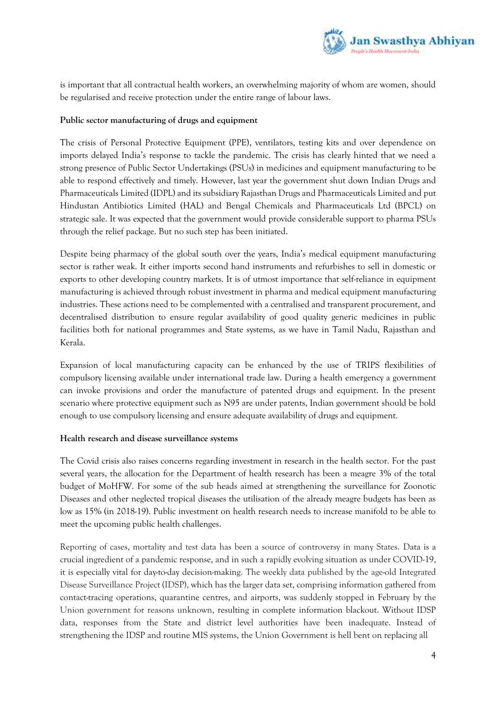

is important that all contractual health workers, an overwhelming majority of whom are women, should be regularised and receive protection under the entire range of labour laws.

## **Public sector manufacturing of drugs and equipment**

The crisis of Personal Protective Equipment (PPE), ventilators, testing kits and over dependence on imports delayed India's response to tackle the pandemic. The crisis has clearly hinted that we need a strong presence of Public Sector Undertakings (PSUs) in medicines and equipment manufacturing to be able to respond effectively and timely. However, last year the government shut down Indian Drugs and Pharmaceuticals Limited (IDPL) and its subsidiary Rajasthan Drugs and Pharmaceuticals Limited and put Hindustan Antibiotics Limited (HAL) and Bengal Chemicals and Pharmaceuticals Ltd (BPCL) on strategic sale. It was expected that the government would provide considerable support to pharma PSUs through the relief package. But no such step has been initiated.

Despite being pharmacy of the global south over the years, India's medical equipment manufacturing sector is rather weak. It either imports second hand instruments and refurbishes to sell in domestic or exports to other developing country markets. It is of utmost importance that self-reliance in equipment manufacturing is achieved through robust investment in pharma and medical equipment manufacturing industries. These actions need to be complemented with a centralised and transparent procurement, and decentralised distribution to ensure regular availability of good quality generic medicines in public facilities both for national programmes and State systems, as we have in Tamil Nadu, Rajasthan and Kerala.

Expansion of local manufacturing capacity can be enhanced by the use of TRIPS flexibilities of compulsory licensing available under international trade law. During a health emergency a government can invoke provisions and order the manufacture of patented drugs and equipment. In the present scenario where protective equipment such as N95 are under patents, Indian government should be bold enough to use compulsory licensing and ensure adequate availability of drugs and equipment.

## **Health research and disease surveillance systems**

The Covid crisis also raises concerns regarding investment in research in the health sector. For the past several years, the allocation for the Department of health research has been a meagre 3% of the total budget of MoHFW. For some of the sub heads aimed at strengthening the surveillance for Zoonotic Diseases and other neglected tropical diseases the utilisation of the already meagre budgets has been as low as 15% (in 2018-19). Public investment on health research needs to increase manifold to be able to meet the upcoming public health challenges.

Reporting of cases, mortality and test data has been a source of controversy in many States. Data is a crucial ingredient of a pandemic response, and in such a rapidly evolving situation as under COVID-19, it is especially vital for day-to-day decision-making. The weekly data published by the age-old Integrated Disease Surveillance Project (IDSP), which has the larger data set, comprising information gathered from contact-tracing operations, quarantine centres, and airports, was suddenly stopped in February by the Union government for reasons unknown, resulting in complete information blackout. Without IDSP data, responses from the State and district level authorities have been inadequate. Instead of strengthening the IDSP and routine MIS systems, the Union Government is hell bent on replacing all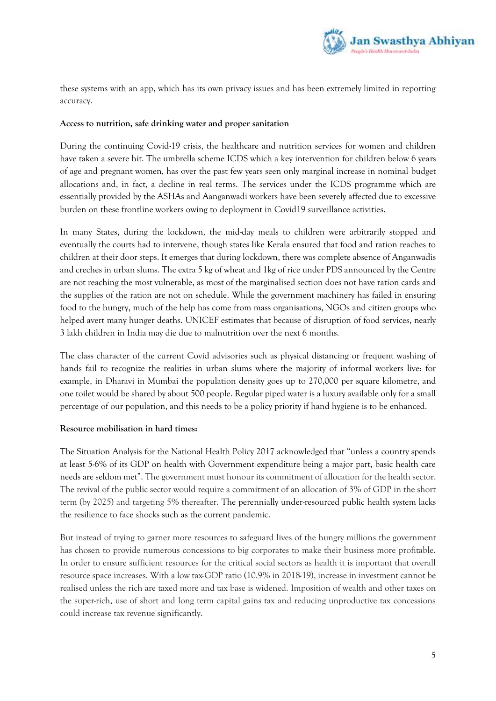

these systems with an app, which has its own privacy issues and has been extremely limited in reporting accuracy.

### **Access to nutrition, safe drinking water and proper sanitation**

During the continuing Covid-19 crisis, the healthcare and nutrition services for women and children have taken a severe hit. The umbrella scheme ICDS which a key intervention for children below 6 years of age and pregnant women, has over the past few years seen only marginal increase in nominal budget allocations and, in fact, a decline in real terms. The services under the ICDS programme which are essentially provided by the ASHAs and Aanganwadi workers have been severely affected due to excessive burden on these frontline workers owing to deployment in Covid19 surveillance activities.

In many States, during the lockdown, the mid-day meals to children were arbitrarily stopped and eventually the courts had to intervene, though states like Kerala ensured that food and ration reaches to children at their door steps. It emerges that during lockdown, there was complete absence of Anganwadis and creches in urban slums. The extra 5 kg of wheat and 1kg of rice under PDS announced by the Centre are not reaching the most vulnerable, as most of the marginalised section does not have ration cards and the supplies of the ration are not on schedule. While the government machinery has failed in ensuring food to the hungry, much of the help has come from mass organisations, NGOs and citizen groups who helped avert many hunger deaths. UNICEF estimates that because of disruption of food services, nearly 3 lakh children in India may die due to malnutrition over the next 6 months.

The class character of the current Covid advisories such as physical distancing or frequent washing of hands fail to recognize the realities in urban slums where the majority of informal workers live: for example, in Dharavi in Mumbai the population density goes up to 270,000 per square kilometre, and one toilet would be shared by about 500 people. Regular piped water is a luxury available only for a small percentage of our population, and this needs to be a policy priority if hand hygiene is to be enhanced.

## **Resource mobilisation in hard times:**

The Situation Analysis for the National Health Policy 2017 acknowledged that "unless a country spends at least 5-6% of its GDP on health with Government expenditure being a major part, basic health care needs are seldom met". The government must honour its commitment of allocation for the health sector. The revival of the public sector would require a commitment of an allocation of 3% of GDP in the short term (by 2025) and targeting 5% thereafter. The perennially under-resourced public health system lacks the resilience to face shocks such as the current pandemic.

But instead of trying to garner more resources to safeguard lives of the hungry millions the government has chosen to provide numerous concessions to big corporates to make their business more profitable. In order to ensure sufficient resources for the critical social sectors as health it is important that overall resource space increases. With a low tax-GDP ratio (10.9% in 2018-19), increase in investment cannot be realised unless the rich are taxed more and tax base is widened. Imposition of wealth and other taxes on the super-rich, use of short and long term capital gains tax and reducing unproductive tax concessions could increase tax revenue significantly.